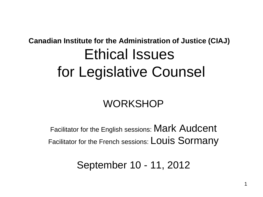#### **Canadian Institute for the Administration of Justice (CIAJ)** Ethical Issues for Legislative Counsel

#### **WORKSHOP**

Facilitator for the English sessions: Mark Audcent Facilitator for the French sessions: LOUIS SOIMANY

September 10 - 11, 2012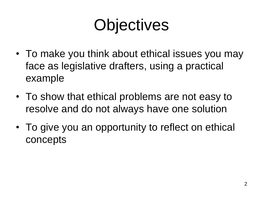## **Objectives**

- To make you think about ethical issues you may face as legislative drafters, using a practical example
- To show that ethical problems are not easy to resolve and do not always have one solution
- To give you an opportunity to reflect on ethical concepts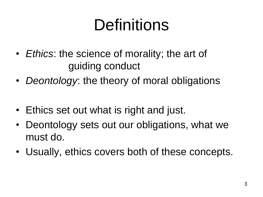## Definitions

- *Ethics*: the science of morality; the art of guiding conduct
- *Deontology*: the theory of moral obligations
- Ethics set out what is right and just.
- Deontology sets out our obligations, what we must do.
- Usually, ethics covers both of these concepts.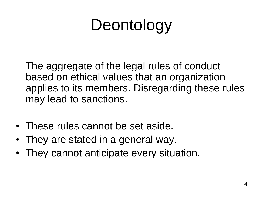## Deontology

The aggregate of the legal rules of conduct based on ethical values that an organization applies to its members. Disregarding these rules may lead to sanctions.

- These rules cannot be set aside.
- They are stated in a general way.
- They cannot anticipate every situation.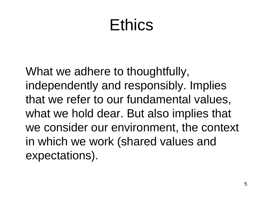### **Ethics**

What we adhere to thoughtfully, independently and responsibly. Implies that we refer to our fundamental values, what we hold dear. But also implies that we consider our environment, the context in which we work (shared values and expectations).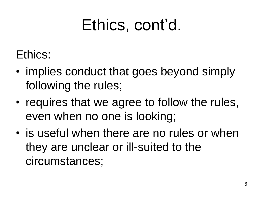### Ethics, cont'd.

#### Ethics:

- implies conduct that goes beyond simply following the rules;
- requires that we agree to follow the rules, even when no one is looking;
- is useful when there are no rules or when they are unclear or ill-suited to the circumstances;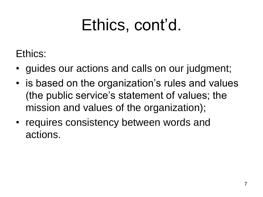### Ethics, cont'd.

Ethics:

- guides our actions and calls on our judgment;
- is based on the organization's rules and values (the public service's statement of values; the mission and values of the organization);
- requires consistency between words and actions.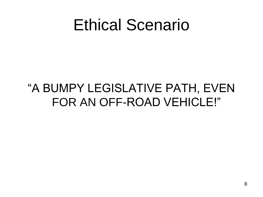#### Ethical Scenario

#### "A BUMPY LEGISLATIVE PATH, EVEN FOR AN OFF-ROAD VEHICLE!"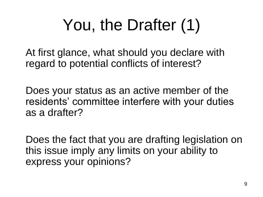# You, the Drafter (1)

At first glance, what should you declare with regard to potential conflicts of interest?

Does your status as an active member of the residents' committee interfere with your duties as a drafter?

Does the fact that you are drafting legislation on this issue imply any limits on your ability to express your opinions?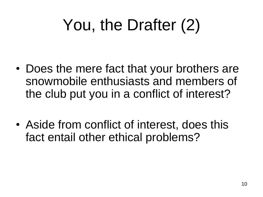## You, the Drafter (2)

- Does the mere fact that your brothers are snowmobile enthusiasts and members of the club put you in a conflict of interest?
- Aside from conflict of interest, does this fact entail other ethical problems?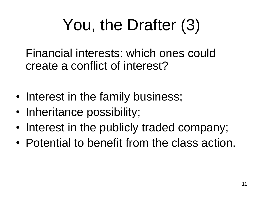# You, the Drafter (3)

Financial interests: which ones could create a conflict of interest?

- Interest in the family business;
- Inheritance possibility;
- Interest in the publicly traded company;
- Potential to benefit from the class action.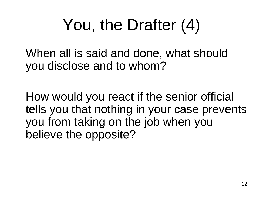## You, the Drafter (4)

When all is said and done, what should you disclose and to whom?

How would you react if the senior official tells you that nothing in your case prevents you from taking on the job when you believe the opposite?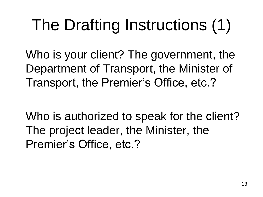# The Drafting Instructions (1)

Who is your client? The government, the Department of Transport, the Minister of Transport, the Premier's Office, etc.?

Who is authorized to speak for the client? The project leader, the Minister, the Premier's Office, etc.?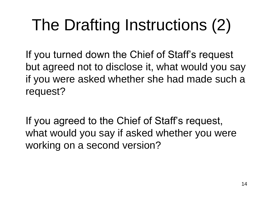# The Drafting Instructions (2)

If you turned down the Chief of Staff's request but agreed not to disclose it, what would you say if you were asked whether she had made such a request?

If you agreed to the Chief of Staff's request, what would you say if asked whether you were working on a second version?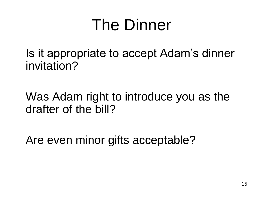### The Dinner

Is it appropriate to accept Adam's dinner invitation?

Was Adam right to introduce you as the drafter of the bill?

Are even minor gifts acceptable?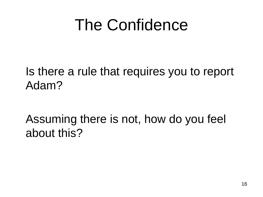### The Confidence

Is there a rule that requires you to report Adam?

Assuming there is not, how do you feel about this?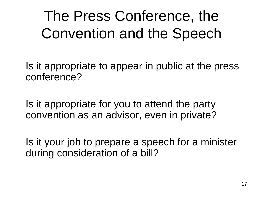The Press Conference, the Convention and the Speech

Is it appropriate to appear in public at the press conference?

Is it appropriate for you to attend the party convention as an advisor, even in private?

Is it your job to prepare a speech for a minister during consideration of a bill?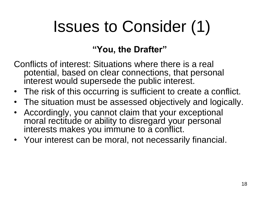## Issues to Consider (1)

#### **"You, the Drafter"**

- Conflicts of interest: Situations where there is a real potential, based on clear connections, that personal interest would supersede the public interest.
- The risk of this occurring is sufficient to create a conflict.
- The situation must be assessed objectively and logically.
- Accordingly, you cannot claim that your exceptional moral rectitude or ability to disregard your personal interests makes you immune to a conflict.
- Your interest can be moral, not necessarily financial.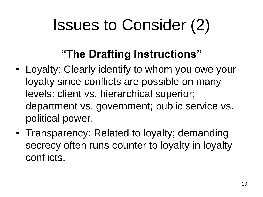## Issues to Consider (2)

#### **"The Drafting Instructions"**

- Loyalty: Clearly identify to whom you owe your loyalty since conflicts are possible on many levels: client vs. hierarchical superior; department vs. government; public service vs. political power.
- Transparency: Related to loyalty; demanding secrecy often runs counter to loyalty in loyalty conflicts.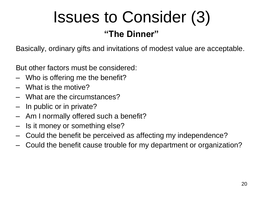# Issues to Consider (3)

#### **"The Dinner"**

Basically, ordinary gifts and invitations of modest value are acceptable.

But other factors must be considered:

- Who is offering me the benefit?
- What is the motive?
- What are the circumstances?
- In public or in private?
- Am I normally offered such a benefit?
- Is it money or something else?
- Could the benefit be perceived as affecting my independence?
- Could the benefit cause trouble for my department or organization?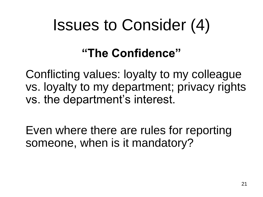### Issues to Consider (4)

#### **"The Confidence"**

Conflicting values: loyalty to my colleague vs. loyalty to my department; privacy rights vs. the department's interest.

Even where there are rules for reporting someone, when is it mandatory?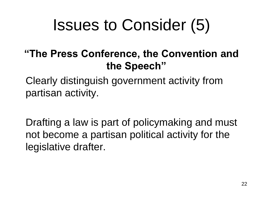## Issues to Consider (5)

#### **"The Press Conference, the Convention and the Speech"**

Clearly distinguish government activity from partisan activity.

Drafting a law is part of policymaking and must not become a partisan political activity for the legislative drafter.